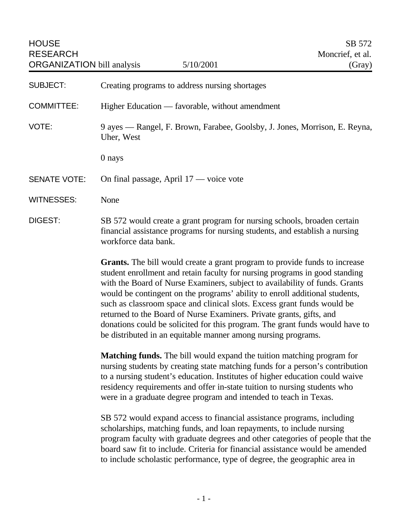| <b>HOUSE</b><br><b>RESEARCH</b><br><b>ORGANIZATION</b> bill analysis | 5/10/2001                                                                                                                                                                                                                                                                                                                                                                                                                                                                                                                                                                                                                          | SB 572<br>Moncrief, et al.<br>(Gray) |
|----------------------------------------------------------------------|------------------------------------------------------------------------------------------------------------------------------------------------------------------------------------------------------------------------------------------------------------------------------------------------------------------------------------------------------------------------------------------------------------------------------------------------------------------------------------------------------------------------------------------------------------------------------------------------------------------------------------|--------------------------------------|
| <b>SUBJECT:</b>                                                      | Creating programs to address nursing shortages                                                                                                                                                                                                                                                                                                                                                                                                                                                                                                                                                                                     |                                      |
| <b>COMMITTEE:</b>                                                    | Higher Education — favorable, without amendment                                                                                                                                                                                                                                                                                                                                                                                                                                                                                                                                                                                    |                                      |
| VOTE:                                                                | 9 ayes — Rangel, F. Brown, Farabee, Goolsby, J. Jones, Morrison, E. Reyna,<br>Uher, West                                                                                                                                                                                                                                                                                                                                                                                                                                                                                                                                           |                                      |
|                                                                      | 0 nays                                                                                                                                                                                                                                                                                                                                                                                                                                                                                                                                                                                                                             |                                      |
| <b>SENATE VOTE:</b>                                                  | On final passage, April 17 — voice vote                                                                                                                                                                                                                                                                                                                                                                                                                                                                                                                                                                                            |                                      |
| <b>WITNESSES:</b>                                                    | None                                                                                                                                                                                                                                                                                                                                                                                                                                                                                                                                                                                                                               |                                      |
| <b>DIGEST:</b>                                                       | SB 572 would create a grant program for nursing schools, broaden certain<br>financial assistance programs for nursing students, and establish a nursing<br>workforce data bank.                                                                                                                                                                                                                                                                                                                                                                                                                                                    |                                      |
|                                                                      | <b>Grants.</b> The bill would create a grant program to provide funds to increase<br>student enrollment and retain faculty for nursing programs in good standing<br>with the Board of Nurse Examiners, subject to availability of funds. Grants<br>would be contingent on the programs' ability to enroll additional students,<br>such as classroom space and clinical slots. Excess grant funds would be<br>returned to the Board of Nurse Examiners. Private grants, gifts, and<br>donations could be solicited for this program. The grant funds would have to<br>be distributed in an equitable manner among nursing programs. |                                      |
|                                                                      | <b>Matching funds.</b> The bill would expand the tuition matching program for<br>nursing students by creating state matching funds for a person's contribution<br>to a nursing student's education. Institutes of higher education could waive<br>residency requirements and offer in-state tuition to nursing students who<br>were in a graduate degree program and intended to teach in Texas.                                                                                                                                                                                                                                   |                                      |
|                                                                      | SB 572 would expand access to financial assistance programs, including                                                                                                                                                                                                                                                                                                                                                                                                                                                                                                                                                             |                                      |

scholarships, matching funds, and loan repayments, to include nursing program faculty with graduate degrees and other categories of people that the board saw fit to include. Criteria for financial assistance would be amended to include scholastic performance, type of degree, the geographic area in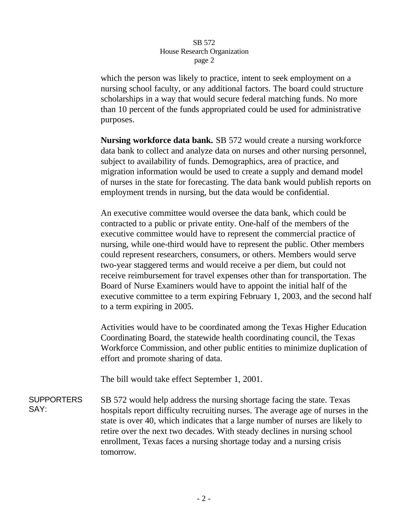## SB 572 House Research Organization page 2

which the person was likely to practice, intent to seek employment on a nursing school faculty, or any additional factors. The board could structure scholarships in a way that would secure federal matching funds. No more than 10 percent of the funds appropriated could be used for administrative purposes.

**Nursing workforce data bank.** SB 572 would create a nursing workforce data bank to collect and analyze data on nurses and other nursing personnel, subject to availability of funds. Demographics, area of practice, and migration information would be used to create a supply and demand model of nurses in the state for forecasting. The data bank would publish reports on employment trends in nursing, but the data would be confidential.

An executive committee would oversee the data bank, which could be contracted to a public or private entity. One-half of the members of the executive committee would have to represent the commercial practice of nursing, while one-third would have to represent the public. Other members could represent researchers, consumers, or others. Members would serve two-year staggered terms and would receive a per diem, but could not receive reimbursement for travel expenses other than for transportation. The Board of Nurse Examiners would have to appoint the initial half of the executive committee to a term expiring February 1, 2003, and the second half to a term expiring in 2005.

Activities would have to be coordinated among the Texas Higher Education Coordinating Board, the statewide health coordinating council, the Texas Workforce Commission, and other public entities to minimize duplication of effort and promote sharing of data.

The bill would take effect September 1, 2001.

**SUPPORTERS** SAY: SB 572 would help address the nursing shortage facing the state. Texas hospitals report difficulty recruiting nurses. The average age of nurses in the state is over 40, which indicates that a large number of nurses are likely to retire over the next two decades. With steady declines in nursing school enrollment, Texas faces a nursing shortage today and a nursing crisis tomorrow.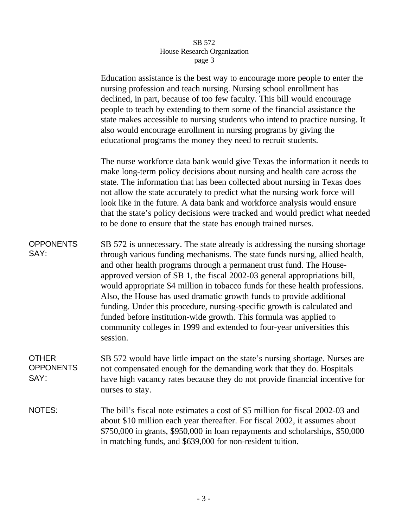## SB 572 House Research Organization page 3

|                                   | Education assistance is the best way to encourage more people to enter the<br>nursing profession and teach nursing. Nursing school enrollment has<br>declined, in part, because of too few faculty. This bill would encourage<br>people to teach by extending to them some of the financial assistance the<br>state makes accessible to nursing students who intend to practice nursing. It<br>also would encourage enrollment in nursing programs by giving the<br>educational programs the money they need to recruit students.                                                                                                                                                                               |
|-----------------------------------|-----------------------------------------------------------------------------------------------------------------------------------------------------------------------------------------------------------------------------------------------------------------------------------------------------------------------------------------------------------------------------------------------------------------------------------------------------------------------------------------------------------------------------------------------------------------------------------------------------------------------------------------------------------------------------------------------------------------|
|                                   | The nurse workforce data bank would give Texas the information it needs to<br>make long-term policy decisions about nursing and health care across the<br>state. The information that has been collected about nursing in Texas does<br>not allow the state accurately to predict what the nursing work force will<br>look like in the future. A data bank and workforce analysis would ensure<br>that the state's policy decisions were tracked and would predict what needed<br>to be done to ensure that the state has enough trained nurses.                                                                                                                                                                |
| <b>OPPONENTS</b><br>SAY:          | SB 572 is unnecessary. The state already is addressing the nursing shortage<br>through various funding mechanisms. The state funds nursing, allied health,<br>and other health programs through a permanent trust fund. The House-<br>approved version of SB 1, the fiscal 2002-03 general appropriations bill,<br>would appropriate \$4 million in tobacco funds for these health professions.<br>Also, the House has used dramatic growth funds to provide additional<br>funding. Under this procedure, nursing-specific growth is calculated and<br>funded before institution-wide growth. This formula was applied to<br>community colleges in 1999 and extended to four-year universities this<br>session. |
| OTHER<br><b>OPPONENTS</b><br>SAY: | SB 572 would have little impact on the state's nursing shortage. Nurses are<br>not compensated enough for the demanding work that they do. Hospitals<br>have high vacancy rates because they do not provide financial incentive for<br>nurses to stay.                                                                                                                                                                                                                                                                                                                                                                                                                                                          |
| NOTES:                            | The bill's fiscal note estimates a cost of \$5 million for fiscal 2002-03 and<br>about \$10 million each year thereafter. For fiscal 2002, it assumes about<br>\$750,000 in grants, \$950,000 in loan repayments and scholarships, \$50,000<br>in matching funds, and \$639,000 for non-resident tuition.                                                                                                                                                                                                                                                                                                                                                                                                       |